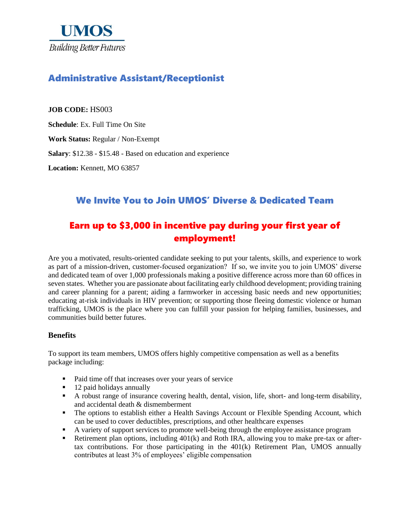

# Administrative Assistant/Receptionist

**JOB CODE:** HS003

**Schedule**: Ex. Full Time On Site

**Work Status:** Regular / Non-Exempt

**Salary**: \$12.38 - \$15.48 - Based on education and experience

**Location:** Kennett, MO 63857

## We Invite You to Join UMOS' Diverse & Dedicated Team

# Earn up to \$3,000 in incentive pay during your first year of employment!

Are you a motivated, results-oriented candidate seeking to put your talents, skills, and experience to work as part of a mission-driven, customer-focused organization? If so, we invite you to join UMOS' diverse and dedicated team of over 1,000 professionals making a positive difference across more than 60 offices in seven states. Whether you are passionate about facilitating early childhood development; providing training and career planning for a parent; aiding a farmworker in accessing basic needs and new opportunities; educating at-risk individuals in HIV prevention; or supporting those fleeing domestic violence or human trafficking, UMOS is the place where you can fulfill your passion for helping families, businesses, and communities build better futures.

#### **Benefits**

To support its team members, UMOS offers highly competitive compensation as well as a benefits package including:

- Paid time off that increases over your years of service
- 12 paid holidays annually
- A robust range of insurance covering health, dental, vision, life, short- and long-term disability, and accidental death & dismemberment
- The options to establish either a Health Savings Account or Flexible Spending Account, which can be used to cover deductibles, prescriptions, and other healthcare expenses
- A variety of support services to promote well-being through the employee assistance program
- Retirement plan options, including 401(k) and Roth IRA, allowing you to make pre-tax or aftertax contributions. For those participating in the 401(k) Retirement Plan, UMOS annually contributes at least 3% of employees' eligible compensation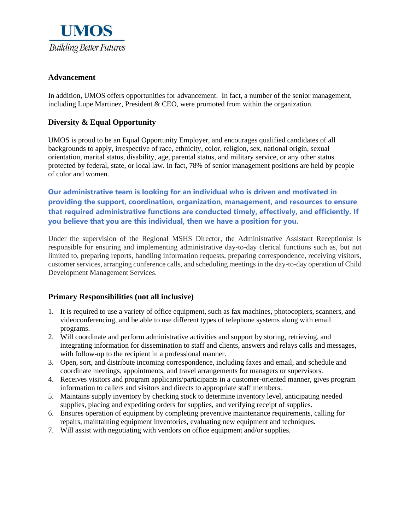

### **Advancement**

In addition, UMOS offers opportunities for advancement. In fact, a number of the senior management, including Lupe Martinez, President & CEO, were promoted from within the organization.

### **Diversity & Equal Opportunity**

UMOS is proud to be an Equal Opportunity Employer, and encourages qualified candidates of all backgrounds to apply, irrespective of race, ethnicity, color, religion, sex, national origin, sexual orientation, marital status, disability, age, parental status, and military service, or any other status protected by federal, state, or local law. In fact, 78% of senior management positions are held by people of color and women.

**Our administrative team is looking for an individual who is driven and motivated in providing the support, coordination, organization, management, and resources to ensure that required administrative functions are conducted timely, effectively, and efficiently. If you believe that you are this individual, then we have a position for you.** 

Under the supervision of the Regional MSHS Director, the Administrative Assistant Receptionist is responsible for ensuring and implementing administrative day-to-day clerical functions such as, but not limited to, preparing reports, handling information requests, preparing correspondence, receiving visitors, customer services, arranging conference calls, and scheduling meetings in the day-to-day operation of Child Development Management Services.

### **Primary Responsibilities (not all inclusive)**

- 1. It is required to use a variety of office equipment, such as fax machines, photocopiers, scanners, and videoconferencing, and be able to use different types of telephone systems along with email programs.
- 2. Will coordinate and perform administrative activities and support by storing, retrieving, and integrating information for dissemination to staff and clients, answers and relays calls and messages, with follow-up to the recipient in a professional manner.
- 3. Open, sort, and distribute incoming correspondence, including faxes and email, and schedule and coordinate meetings, appointments, and travel arrangements for managers or supervisors.
- 4. Receives visitors and program applicants/participants in a customer-oriented manner, gives program information to callers and visitors and directs to appropriate staff members.
- 5. Maintains supply inventory by checking stock to determine inventory level, anticipating needed supplies, placing and expediting orders for supplies, and verifying receipt of supplies.
- 6. Ensures operation of equipment by completing preventive maintenance requirements, calling for repairs, maintaining equipment inventories, evaluating new equipment and techniques.
- 7. Will assist with negotiating with vendors on office equipment and/or supplies.